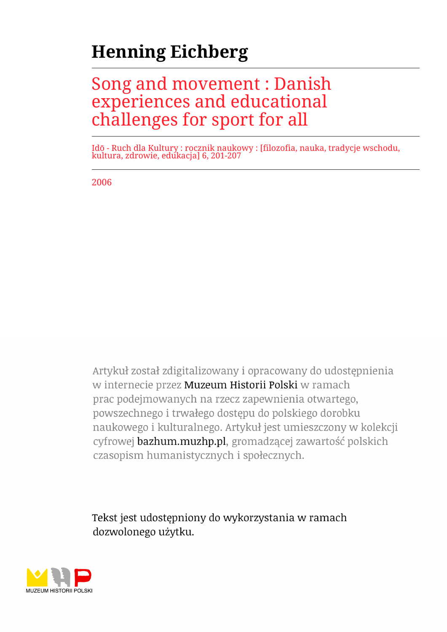# **Henning Eichberg**

## Song and movement : Danish experiences and educational challenges for sport for all

Idō - Ruch dla Kultury : rocznik naukowy : [filozofia, nauka, tradycje wschodu, kultura, zdrowie, edukacja] 6, 201-207

2006

Artykuł został zdigitalizowany i opracowany do udostępnienia w internecie przez Muzeum Historii Polski w ramach prac podejmowanych na rzecz zapewnienia otwartego, powszechnego i trwałego dostępu do polskiego dorobku naukowego i kulturalnego. Artykuł jest umieszczony w kolekcji cyfrowej bazhum.muzhp.pl, gromadzącej zawartość polskich czasopism humanistycznych i społecznych.

Tekst jest udostępniony do wykorzystania w ramach dozwolonego użytku.

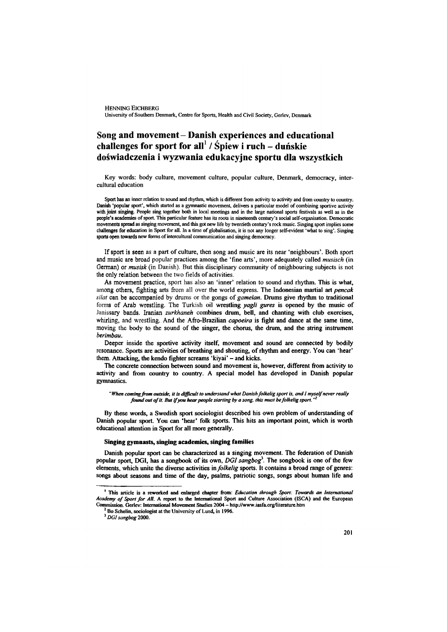### Song and movement-Danish experiences and educational challenges for sport for all<sup>1</sup> / Śpiew i ruch – duńskie **doświadczenia i wyzwania edukacyjne sportu dla wszystkich**

Key words: body culture, movement culture, popular culture, Denmark, democracy, intercultural education

Sport has an inner relation to sound and rhythm, which is different from activity to activity and from country to country. Danish 'popular sport', which started as a gymnastic movement, delivers a particular model of combining sportive activity with joint singing. People sing together both in local meetings and in the large national sports festivals as well as in the people's academies of sport. This particular feature has its roots in nineteenth century's social self-organisation. Democratic movements spread as singing movement, and this got new life by twentieth century's rock music. Singing sport implies some challenges for education in Sport for all. In a time of globalisation, it is not any longer self-evident 'what to sing'. Singing sports open towards new forms of intercultural communication and singing democracy.

If sport is seen as a part of culture, then song and music are its near 'neighbours'. Both sport and music are broad popular practices among the 'fine arts', more adequately called *musisch* (in German) or *musisk* (in Danish). But this disciplinary community of neighbouring subjects is not the only relation between the two fields of activities.

As movement practice, sport has also an 'inner' relation to sound and rhythm. This is what, among others, fighting arts ffom all over the world express. The Indonesian martial art *pencak silat* can be accompanied by drums or the gongs of *gamelan*. Drums give rhythm to traditional forms of Arab wrestling. The Turkish oil wrestling *yagli gures* is opened by the music of Janissary bands. Iranian *zurkhaneh* combines drum, bell, and chanting with club exercises, whirling, and wrestling. And the Affo-Brazilian *capoeira* is fight and dance at the same time, moving the body to the sound of the singer, the chorus, the drum, and the string instrument *berimbau.*

Deeper inside the sportive activity itself, movement and sound are connected by bodily resonance. Sports are activities of breathing and shouting, of rhythm and energy. You can 'hear' them. Attacking, the kendo fighter screams 'kiyai' - and kicks.

The concrete connection between sound and movement is, however, different ffom activity to activity and from country to country. A special model has developed in Danish popular gymnastics.

*"When coming from outside, it is difficult to understand what Danish folkelig sport is, and* / *myself never really found out of it. But if you hear people starting by a song, this must be folkelig sport."* 

By these words, a Swedish sport sociologist described his own problem of understanding of Danish popular sport. You can 'hear' folk sports. This hits an important point, which is worth educational attention in Sport for all more generally.

#### **Singing gymnasts, singing academies, singing families**

Danish popular sport can be characterized as a singing movement. The federation of Danish popular sport, DGI, has a songbook of its own, DGI sangbog<sup>3</sup>. The songbook is one of the few elements, which unite the diverse activities in *folkelig* sports. It contains a broad range of genres: songs about seasons and time of the day, psalms, patriotic songs, songs about human life and

<sup>1</sup> This article is a rew orked and enlarged chapter from: *Education through Sport: Towards an International* Academy of Sport for All. A report to the International Sport and Culture Association (ISCA) and the European Commission. Gerlev: International Movement Studies 2004 - http://www.iasfa.org/literature.htm

 $2$  Bo Schelin, sociologist at the University of Lund, in 1996.

<sup>5</sup>*DGI sangbog* 2000.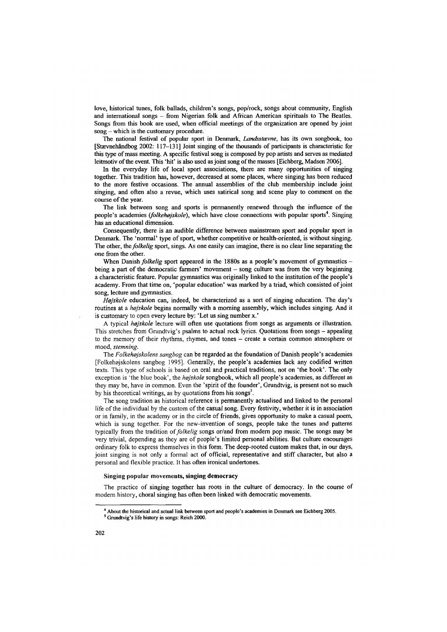love, historical tunes, folk ballads, children's songs, pop/rock, songs about community, English and international songs - from Nigerian folk and African American spirituals to The Beatles. Songs from this book are used, when official meetings of the organization are opened by joint song – which is the customary procedure.

The national festival of popular sport in Denmark, *Landsstavne*, has its own songbook, too  $[Stævnehåndbog 2002: 117–131]$  Joint singing of the thousands of participants is characteristic for this type of mass meeting. A specific festival song is composed by pop artists and serves as mediated leitmotiv of the event. This 'hit' is also used as joint song of the masses [Eichberg, Madsen 2006].

In the everyday life of local sport associations, there are many opportunities of singing together. This tradition has, however, decreased at some places, where singing has been reduced to the more festive occasions. The annual assemblies of the club membership include joint singing, and often also a revue, which uses satirical song and scene play to comment on the course of the year.

The link between song and sports is permanently renewed through the influence of the people's academies *(folkehøjskole)*, which have close connections with popular sports<sup>4</sup>. Singing has an educational dimension.

Consequently, there is an audible difference between mainstream sport and popular sport in Denmark. The 'normal' type of sport, whether competitive or health-oriented, is without singing. The other, the *folkelig* sport, sings. As one easily can imagine, there is no clear line separating the one from the other.

When Danish *folkelig* sport appeared in the 1880s as a people's movement of gymnastics being a part of the democratic farmers' movement – song culture was from the very beginning a characteristic feature. Popular gymnastics was originally linked to the institution of the people's academy. From that time on, 'popular education' was marked by a triad, which consisted of joint song, lecture and gymnastics.

*Højskole* education can, indeed, be characterized as a sort of singing education. The day's routines at a *hojskole* begins normally with a morning assembly, which includes singing. And it is customary to open every lecture by: 'Let us sing number x.'

A typical *hejskole* lecture will often use quotations from songs as arguments or illustration. This stretches from Grundtvig's psalms to actual rock lyrics. Quotations from songs - appealing to the memory of their rhythms, rhymes, and tones - create a certain common atmosphere or mood, *stemning.*

The *Folkehojskolens sangbog* can be regarded as the foundation of Danish people's academies [Folkehojskolens sangbog 1995], Generally, the people's academies lack any codified written texts. This type of schools is based on oral and practical traditions, not on 'the book'. The only exception is 'the blue book', the *hojskole* songbook, which all people's academies, as different as they may be, have in common. Even the 'spirit of the founder', Grundtvig, is present not so much by his theoretical writings, as by quotations from his songs<sup>5</sup>.

The song tradition as historical reference is permanently actualised and linked to the personal life of the individual by the custom of the casual song. Every festivity, whether it is in association or in family, in the academy or in the circle of friends, gives opportunity to make a casual poem, which is sung together. For the new-invention of songs, people take the tunes and patterns typically from the tradition of *folkelig* songs or/and from modem pop music. The songs may be very trivial, depending as they are of people's limited personal abilities. But culture encourages ordinary folk to express themselves in this form. The deep-rooted custom makes that, in our days, joint singing is not only a formal act of official, representative and stiff character, but also a personal and flexible practice. It has often ironical undertones.

#### Singing popular movements, singing democracy

The practice of singing together has roots in the culture of democracy. In the course of modem history, choral singing has often been linked with democratic movements.

 $<sup>4</sup>$  About the historical and actual link between sport and people's academies in Denmark see Eichberg 2005.</sup>

<sup>&</sup>lt;sup>5</sup> Grundtvig's life history in songs: Reich 2000.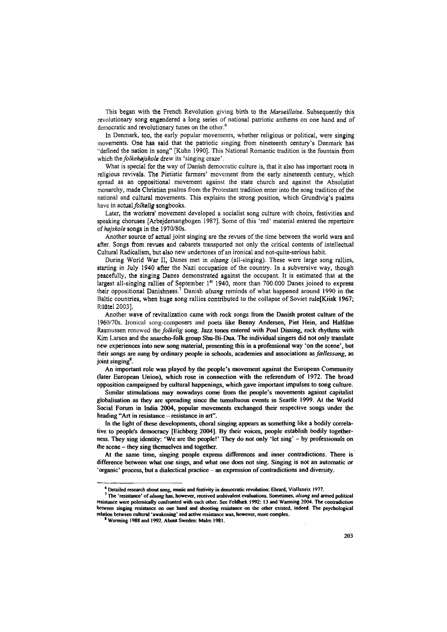This began with the French Revolution giving birth to the *Marseillaise.* Subsequently this revolutionary song engendered a long series of national patriotic anthems on one hand and of democratic and revolutionary tunes on the other.<sup>6</sup>

In Denmark, too, the early popular movements, whether religious or political, were singing movements. One has said that the patriotic singing from nineteenth century's Denmark has "defined the nation in song" [Kuhn 1990], This National Romantic tradition is the fountain from which the *folkeh0jskole* drew its 'singing craze'.

What is special for the way of Danish democratic culture is, that it also has important roots in religious revivals. The Pietistic farmers' movement from the early nineteenth century, which spread as an oppositional movement against the state church and against the Absolutist monarchy, made Christian psalms from the Protestant tradition enter into the song tradition of the national and cultural movements. This explains the strong position, which Grundtvig's psalms have in actual *folkelig* songbooks.

Later, the workers' movement developed a socialist song culture with choirs, festivities and speaking choruses [Arbejdersangbogen 1987], Some of this 'red' material entered the repertoire of *hajskole* songs in the 1970/80s.

Another source of actual joint singing are the revues of the time between the world wars and after. Songs from revues and cabarets transported not only the critical contents of intellectual Cultural Radicalism, but also new undertones of an ironical and not-quite-serious habit.

During World War II, Danes met in *alsang* (all-singing). These were large song rallies, starting in July 1940 after the Nazi occupation of the country. In a subversive way, though peacefully, the singing Danes demonstrated against the occupant. It is estimated that at the largest all-singing rallies of September  $1<sup>st</sup>$  1940, more than 700.000 Danes joined to express their oppositional Danishness.7 Danish *alsang* reminds of what happened around 1990 in the Baltic countries, when huge song rallies contributed to the collapse of Soviet rule [Kiisk 1967; Rüütel 2003],

Another wave of revitalization came with rock songs from the Danish protest culture of the 1960/70s. Ironical song-composers and poets like Benny Andersen, Piet Hein, and Halfdan Rasmussen renewed the *folkelig* song. Jazz tones entered with Poul Dissing, rock rhythms with Kim Larsen and the anarcho-folk group Shu-Bi-Dua. The individual singers did not only translate new experiences into new song material, presenting this in a professional way 'on the scene', but their songs are sung by ordinary people in schools, academies and associations as *fcellessang,* as joint singing\*.

An important role was played by the people's movement against the European Community (later European Union), which rose in connection with the referendum of 1972. The broad opposition campaigned by cultural happenings, which gave important impulses to song culture.

Similar stimulations may nowadays come from the people's movements against capitalist globalisation as they are spreading since the tumultuous events in Seattle 1999. At the World Social Forum in India 2004, popular movements exchanged their respective songs under the heading "Art in resistance – resistance in art".

In the light of these developments, choral singing appears as something like a bodily correlative to people's democracy [Eichberg 2004]. By their voices, people establish bodily togetherness. They sing identity: 'We are the people!' They do not only 'let sing' - by professionals on the scene - they sing themselves and together.

At the same time, singing people express differences and inner contradictions. There is difference between what one sings, and what one does not sing. Singing is not an automatic or 'organic' process, but a dialectical practice - an expression of contradictions and diversity.

<sup>&</sup>lt;sup>6</sup> Detailed research about song, music and festivity in democratic revolution: Ehrard, Viallaneix 1977.

<sup>&</sup>lt;sup>7</sup> The 'resistance' of *alsang* has, however, received ambivalent evaluations. Sometimes, *alsang* and armed political resistance were polemically confronted with each other. See Feldbæk 1992: 13 and Warming 2004. The contradiction between singing resistance on one hand and shooting resistance on the other existed, indeed. The psychological relation between cultural 'awakening' and active resistance was, however, more complex.

<sup>&</sup>lt;sup>8</sup> Warming 1988 and 1992. About Sweden: Malm 1981.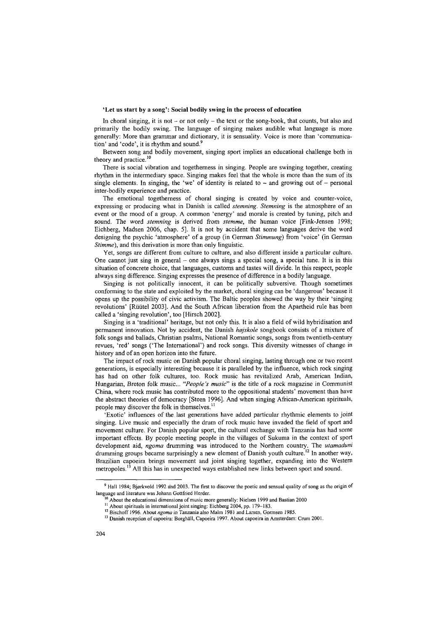#### 'Let us start by a song': Social bodily swing in the process of education

In choral singing, it is not  $-\sigma$  not only  $-\theta$  the text or the song-book, that counts, but also and primarily the bodily swing. The language of singing makes audible what language is more generally: More than grammar and dictionary, it is sensuality. Voice is more than 'communication' and 'code', it is rhythm and sound.9

Between song and bodily movement, singing sport implies an educational challenge both in theory and practice.<sup>10</sup>

There is social vibration and togetherness in singing. People are swinging together, creating rhythm in the intermediary space. Singing makes feel that the whole is more than the sum of its single elements. In singing, the 'we' of identity is related to  $\sim$  and growing out of  $-$  personal inter-bodily experience and practice.

The emotional togetherness of choral singing is created by voice and counter-voice, expressing or producing what in Danish is called *stemning. Stemning* is the atmosphere of an event or the mood of a group. A common 'energy' and morale is created by tuning, pitch and sound. The word *stemning* is derived from *stemme*, the human voice [Fink-Jensen 1998; Eichberg, Madsen 2006, chap. 5]. It is not by accident that some languages derive the word designing the psychic 'atmosphere' of a group (in German *Stimmung*) from 'voice' (in German *Stimme),* and this derivation is more than only linguistic.

Yet, songs are different from culture to culture, and also different inside a particular culture. One cannot just sing in general – one always sings a special song, a special tune. It is in this situation of concrete choice, that languages, customs and tastes will divide. In this respect, people always sing difference. Singing expresses the presence of difference in a bodily language.

Singing is not politically innocent, it can be politically subversive. Though sometimes conforming to the state and exploited by the market, choral singing can be 'dangerous' because it opens up the possibility of civic activism. The Baltic peoples showed the way by their 'singing revolutions' [Rüütel 2003]. And the South African liberation from the Apartheid rule has been called a 'singing revolution', too [Hirsch 2002],

Singing is a 'traditional' heritage, but not only this. It is also a field of wild hybridisation and permanent innovation. Not by accident, the Danish *hëjskole* songbook consists of a mixture of folk songs and ballads, Christian psalms, National Romantic songs, songs from twentieth-century revues, 'red' songs ('The International') and rock songs. This diversity witnesses of change in history and of an open horizon into the future.

The impact of rock music on Danish popular choral singing, lasting through one or two recent generations, is especially interesting because it is paralleled by the influence, which rock singing has had on other folk cultures, too. Rock music has revitalized Arab, American Indian, Hungarian, Breton folk music... "People's music" is the title of a rock magazine in Communist China, where rock music has contributed more to the oppositional students' movement than have the abstract theories of democracy [Steen 1996]. And when singing African-American spirituals, people may discover the folk in themselves.<sup>11</sup>

'Exotic' influences of the last generations have added particular rhythmic elements to joint singing. Live music and especially the drum of rock music have invaded the field of sport and movement culture. For Danish popular sport, the cultural exchange with Tanzania has had some important effects. By people meeting people in the villages of Sukuma in the context of sport development aid, *ngoma* drumming was introduced to the Northern country. The *utamaduni* drumming groups became surprisingly a new element of Danish youth culture.<sup>12</sup> In another way, Brazilian capoeira brings movement and joint singing together, expanding into the Western metropoles.<sup>13</sup> All this has in unexpected ways established new links between sport and sound.

<sup>9</sup> Hall 1984; Bjorkvold 1992 and 2003. The first to discover the poetic and sensual quality of song as the origin of language and literature was Johann Gottfried Herder.

<sup>&</sup>lt;sup>10</sup> About the educational dimensions of music more generally: Nielsen 1999 and Bastian 2000

<sup>&</sup>lt;sup>11</sup> About spirituals in international joint singing: Eichberg 2004, pp. 179-183.

<sup>&</sup>lt;sup>12</sup> Bischoff 1996. About ngoma in Tanzania also Malm 1981 and Larsen, Gormsen 1985.

<sup>&</sup>lt;sup>13</sup> Danish reception of capoeira: Borghäll, Capoeira 1997. About capoeira in Amsterdam: Crum 2001.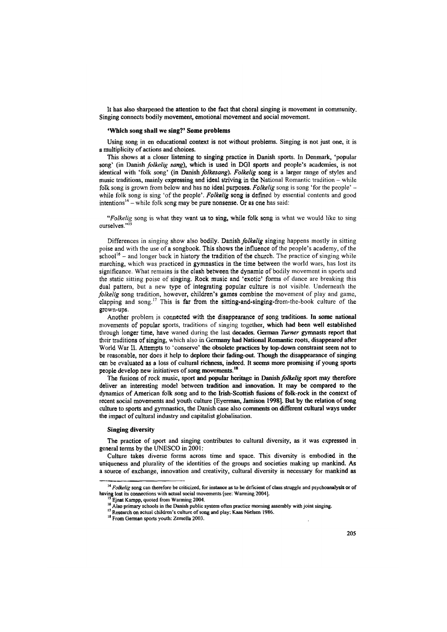It has also sharpened the attention to the fact that choral singing is movement in community. Singing connects bodily movement, emotional movement and social movement.

#### **'Which song shall we sing?' Some problems**

Using song in en educational context is not without problems. Singing is not just one, it is a multiplicity of actions and choices.

This shows at a closer listening to singing practice in Danish sports. In Denmark, 'popular song' (in Danish *folkelig sang),* which is used in DG1 sports and people's academies, is not identical with 'folk song' (in Danish *folkesang). Folkelig* song is a larger range of styles and music traditions, mainly expressing and ideal striving in the National Romantic tradition – while folk song is grown from below and has no ideal purposes. *Folkelig* song is song 'for the people' while folk song is sing 'of the people'. *Folkelig* song is defined by essential contents and good intentions<sup>14</sup> – while folk song may be pure nonsense. Or as one has said:

*"Folkelig* song is what they want us to sing, while folk song is what we would like to sing ourselves."<sup>15</sup>

Differences in singing show also bodily. Danish *folkelig* singing happens mostly in sitting poise and with the use of a songbook. This shows the influence of the people's academy, of the school<sup>16</sup> – and longer back in history the tradition of the church. The practice of singing while marching, which was practiced in gymnastics in the time between the world wars, has lost its significance. What remains is the clash between the dynamic of bodily movement in sports and the static sitting poise of singing. Rock music and 'exotic' forms of dance are breaking this dual pattern, but a new type of integrating popular culture is not visible. Underneath the *folkelig* song tradition, however, children's games combine the movement of play and game, clapping and song.<sup>17</sup> This is far from the sitting-and-singing-from-the-book culture of the grown-ups.

Another problem is connected with the disappearance of song traditions. In some national movements of popular sports, traditions of singing together, which had been well established through longer time, have waned during the last decades. German *Turner* gymnasts report that their traditions of singing, which also in Germany had National Romantic roots, disappeared after World War II. Attempts to 'conserve' the obsolete practices by top-down constraint seem not to be reasonable, nor does it help to deplore their fading-out. Though the disappearance of singing can be evaluated as a loss of cultural richness, indeed. It seems more promising if young sports people develop new initiatives of song movements.<sup>18</sup>

The fusions of rock music, sport and popular heritage in Danish *folkelig* sport may therefore deliver an interesting model between tradition and innovation. It may be compared to the dynamics of American folk song and to the Irish-Scottish fusions of folk-rock in the context of recent social movements and youth culture [Eyerman, Jamison 1998]. But by the relation of song culture to sports and gymnastics, the Danish case also comments on different cultural ways under the impact of cultural industry and capitalist globalisation.

#### **Singing diversity**

The practice of sport and singing contributes to cultural diversity, as it was expressed in general terms by the UNESCO in 2001:

Culture takes diverse forms across time and space. This diversity is embodied in the uniqueness and plurality of the identities of the groups and societies making up mankind. As a source of exchange, innovation and creativity, cultural diversity is necessary for mankind as

<sup>&</sup>lt;sup>14</sup> *Folkelig* song can therefore be criticized, for instance as to be deficient of class struggle and psychoanalysis or of having lost its connections with actual social movements (see: Warming 2004).

Ejnat Kampp, quoted from Warming 2004.

<sup>&</sup>lt;sup>16</sup> Also primary schools in the Danish public system often practice morning assembly with joint singing.

<sup>&</sup>lt;sup>17</sup> Research on actual children's culture of song and play: Kaas Nielsen 1986.

<sup>&</sup>lt;sup>18</sup> From German sports youth: Zemella 2003.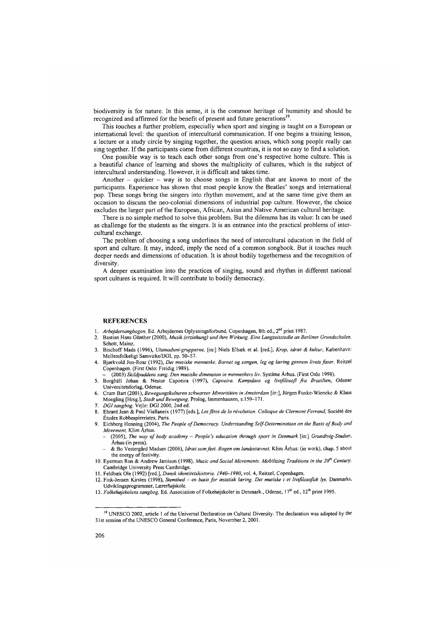biodiversity is for nature. In this sense, it is the common heritage of humanity and should be recognized and affirmed for the benefit of present and future generations<sup>19</sup>.

This touches a further problem, especially when sport and singing is taught on a European or international level: the question of intercultural communication. If one begins a training lesson, a lecture or a study circle by singing together, the question arises, which song people really can sing together. If the participants come from different countries, it is not so easy to find a solution.

One possible way is to teach each other songs from one's respective home culture. This is a beautiful chance of learning and shows the multiplicity of cultures, which is the subject of intercultural understanding. However, it is difficult and takes time.

Another  $-$  quicker  $-$  way is to choose songs in English that are known to most of the participants. Experience has shown that most people know the Beatles' songs and international pop. These songs bring the singers into rhythm movement, and at the same time give them an occasion to discuss the neo-colonial dimensions of industrial pop culture. However, the choice excludes the larger part of the European, African, Asian and Native American cultural heritage.

There is no simple method to solve this problem. But the dilemma has its value: It can be used as challenge for the students as the singers. It is an entrance into the practical problems of intercultural exchange.

The problem of choosing a song underlines the need of intercultural education in the field of sport and culture. It may, indeed, imply the need of a common songbook. But it touches much deeper needs and dimensions of education. It is about bodily togetherness and the recognition of diversity.

A deeper examination into the practices of singing, sound and rhythm in different national sport cultures is required. It will contribute to bodily democracy.

#### **REFERENCES**

- 1. *Arbejdersangbogen,* Ed. Arbejdemes Oplysningsforbund. Copenhagen, 8th ed., 2nd print 1987.
- 2. Bastian Hans Günther (2000), *Musik (erziehung) und ihre Wirkung. Eine Langzeitstudie an Berliner Grundschulen,* Schott, Mainz.
- 3. Bischoff Mads (1996), *Utamaduni-grupperne,* [in:] Niels Elbæk et al. [red.], *Krop, idrœt & kultur*, Kobenhavn: Mellemfolkeligt Samvirke/DGI, pp. 50-57.
- 4. Bjorkvold Jon-Roar (1992), *Det musiske menneske. Barnet og sangen, leg og leering gennem livets faser.* Reitzel Copenhagen. (First Oslo: Freidig 1989).
- (2003) *Skildpaddens sang. Den musiske dimension in menneskers liv.* Systime Ärhus. (First Oslo 1998).
- 5. Borghäll Johan & Nestor Capoeira (1997), *Capoeira. Kampdans og livsßlosoß fra Brasilien*, Odense Universitetsforlag, Odense.
- 6. Crum Bart (2001 ), *Bewegungskulturen schwarzer Minoritäten in Amsterdam* [in:], Jürgen Funke-Wieneke *&* Klaus Moegling [Hrsg.], *Stadt und Bewegung,* Prolog, Immenhausen, s.159-171.
- 7. *DGIsangbog.* Vejle: DGI 2000, 2nd ed.
- 8. Ehrard Jean & Paul Viallaneix (1977) [eds.], *Les fêtes de la révolution. Colloque de Clermont Ferrand,* Société des Études Robbespierristes, Paris.
- 9. Eichberg Henning (2004), The People of Democracy. Understanding Self-Determination on the Basis of Body and *Movement,* Klim Ärhus.
	- (2005), *The way o f body academy People's education through sport in Denmark* [in:] *Grundtvig-Studier,* Ärhus (in press).
	- & Bo Vestergârd Madsen (2006), *Idrœt som fest. Bogen om landsstœvnet,* Klim Ärhus: (in work), chap. 5 about the energy of festivity.
- 10. Eyerman Ron & Andrew Jamison (1998), *Music and Social Movements. Mobilizing Traditions in the 20<sup>th</sup> Century,* Cambridge University Press Cambridge.
- 11. Feldbæk Ole (1992) [red.], *Dansk identitetshistorie. 1940-1990,* vol. 4, Reitzel, Copenhagen.
- 12. Fink-Jensen Kirsten (1998), Stemthed en basis for æstetisk læring. Det musiske i et livsfilosofisk lys. Danmarks, Udviklingsprogrammer, Lærerhojskole.
- 13. *Folkehøjskolens sangbog*, Ed. Association of Folkehøjskoler in Denmark., Odense, 17<sup>th</sup> ed., 12<sup>th</sup> print 1995.

<sup>&</sup>lt;sup>19</sup> UNESCO 2002, article 1 of the Universal Declaration on Cultural Diversity. The declaration was adopted by the 31 st session of the UNESCO General Conference, Paris, November 2,2001.